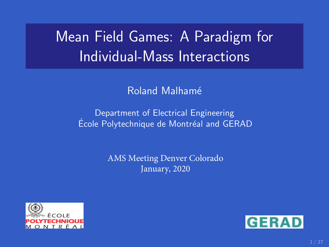# Mean Field Games: A Paradigm for Individual-Mass Interactions

### Roland Malhamé

### Department of Electrical Engineering École Polytechnique de Montréal and GERAD

AMS Meeting Denver Colorado January, 2020



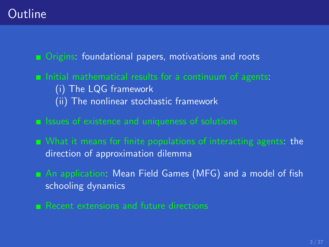## **Outline**

**Demographic Constant** Directors, motivations and roots

- $\blacksquare$  Initial mathematical results for a continuum of agents: (i) The LQG framework (ii) The nonlinear stochastic framework
- $\blacksquare$  Issues of existence and uniqueness of solutions
- What it means for finite populations of interacting agents: the direction of approximation dilemma
- An application: Mean Field Games (MFG) and a model of fish schooling dynamics
- Recent extensions and future directions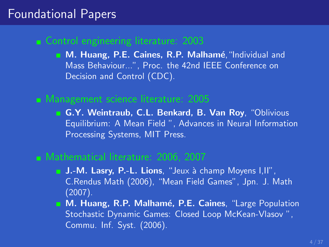### Foundational Papers

### **Control engineering literature: 2003**

M. Huang, P.E. Caines, R.P. Malhamé, "Individual and Mass Behaviour...", Proc. the 42nd IEEE Conference on Decision and Control (CDC).

### Management science literature: 2005

G.Y. Weintraub, C.L. Benkard, B. Van Roy, "Oblivious Equilibrium: A Mean Field ", Advances in Neural Information Processing Systems, MIT Press.

#### Mathematical literature: 2006, 2007

- **J.-M. Lasry, P.-L. Lions**, "Jeux à champ Moyens I,II", C.Rendus Math (2006), "Mean Field Games", Jpn. J. Math (2007).
- **M. Huang, R.P. Malhamé, P.E. Caines**, "Large Population Stochastic Dynamic Games: Closed Loop McKean-Vlasov ", Commu. Inf. Syst. (2006).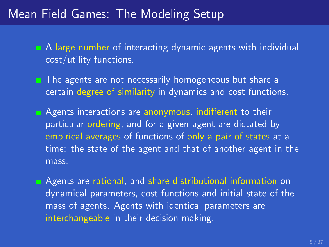### Mean Field Games: The Modeling Setup

- A large number of interacting dynamic agents with individual cost/utility functions.
- $\blacksquare$  The agents are not necessarily homogeneous but share a certain degree of similarity in dynamics and cost functions.
- **Agents interactions are anonymous, indifferent to their** particular ordering, and for a given agent are dictated by empirical averages of functions of only a pair of states at a time: the state of the agent and that of another agent in the mass.
- **Agents are rational, and share distributional information on** dynamical parameters, cost functions and initial state of the mass of agents. Agents with identical parameters are interchangeable in their decision making.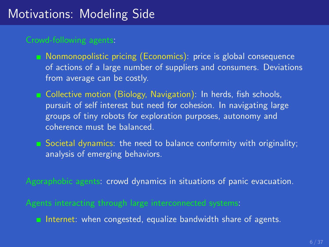## Motivations: Modeling Side

- **Nonmonopolistic pricing (Economics): price is global consequence** of actions of a large number of suppliers and consumers. Deviations from average can be costly.
- **Example 2** Collective motion (Biology, Navigation): In herds, fish schools, pursuit of self interest but need for cohesion. In navigating large groups of tiny robots for exploration purposes, autonomy and coherence must be balanced.
- Societal dynamics: the need to balance conformity with originality; analysis of emerging behaviors.
- Agoraphobic agents: crowd dynamics in situations of panic evacuation.
- - Internet: when congested, equalize bandwidth share of agents.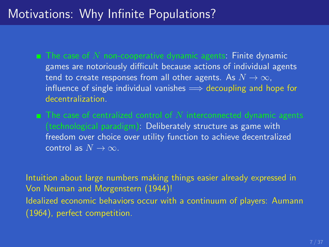## Motivations: Why Infinite Populations?

- $\blacksquare$  The case of N non-cooperative dynamic agents: Finite dynamic games are notoriously difficult because actions of individual agents tend to create responses from all other agents. As  $N \to \infty$ , influence of single individual vanishes  $\implies$  decoupling and hope for decentralization.
- (technological paradigm): Deliberately structure as game with freedom over choice over utility function to achieve decentralized control as  $N \to \infty$ .

Intuition about large numbers making things easier already expressed in Von Neuman and Morgenstern (1944)! Idealized economic behaviors occur with a continuum of players: Aumann (1964), perfect competition.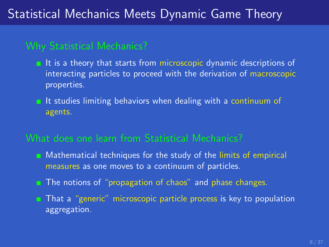## Statistical Mechanics Meets Dynamic Game Theory

### Why Statistical Mechanics?

- $\blacksquare$  It is a theory that starts from microscopic dynamic descriptions of interacting particles to proceed with the derivation of macroscopic properties.
- $\blacksquare$  It studies limiting behaviors when dealing with a continuum of agents.

### What does one learn from Statistical Mechanics?

- **n** Mathematical techniques for the study of the limits of empirical measures as one moves to a continuum of particles.
- **The notions of "propagation of chaos" and phase changes.**
- **That a "generic" microscopic particle process is key to population** aggregation.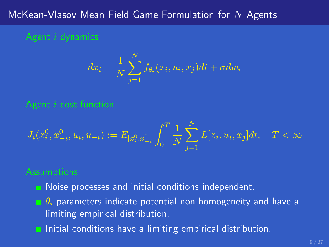### McKean-Vlasov Mean Field Game Formulation for  $N$  Agents

$$
dx_i = \frac{1}{N} \sum_{j=1}^{N} f_{\theta_i}(x_i, u_i, x_j) dt + \sigma dw_i
$$

$$
J_i(x_i^0,x_{-i}^0,u_i,u_{-i}):=E_{|x_i^0,x_{-i}^0}\int_0^T\frac{1}{N}\sum_{j=1}^NL[x_i,u_i,x_j]dt,\quad T<\infty
$$

- **Noise processes and initial conditions independent.**
- $\bullet$   $\theta_i$  parameters indicate potential non homogeneity and have a limiting empirical distribution.
- **Initial conditions have a limiting empirical distribution.**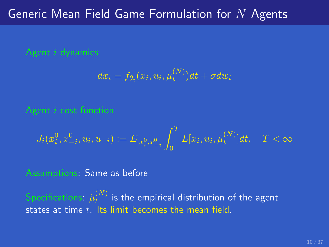## Generic Mean Field Game Formulation for  $N$  Agents

$$
dx_i = f_{\theta_i}(x_i, u_i, \hat{\mu}_t^{(N)})dt + \sigma dw_i
$$

$$
J_i(x_i^0, x_{-i}^0, u_i, u_{-i}) := E_{[x_i^0, x_{-i}^0]} \int_0^T L[x_i, u_i, \hat{\mu}_t^{(N)}] dt, \quad T < \infty
$$

### Assumptions: Same as before

Specifications:  $\hat{\mu}_t^{(N)}$  $\mathbf{f}_t^{(N)}$  is the empirical distribution of the agent states at time  $t$ . Its limit becomes the mean field.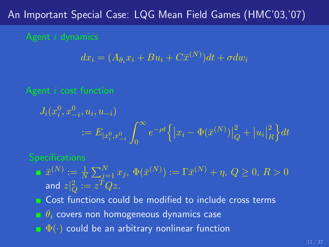### An Important Special Case: LQG Mean Field Games (HMC'03,'07)

$$
dx_i = (A_{\theta_i} x_i + Bu_i + C\bar{x}^{(N)})dt + \sigma dw_i
$$

$$
J_i(x_i^0, x_{-i}^0, u_i, u_{-i})
$$
  

$$
:= E_{|x_i^0, x_{-i}^0} \int_0^\infty e^{-\rho t} \left\{ |x_i - \Phi(\bar{x}^{(N)})|_Q^2 + |u_i|_R^2 \right\} dt
$$

#### **Specifications**

 $\bar{x}^{(N)} := \frac{1}{N}\sum_{j=1}^N x_j, \, \Phi(\bar{x}^{(N)}) := \Gamma \bar{x}^{(N)} + \eta, \, Q \geq 0, \, R > 0$ and  $z|^2_Q := z^T Q z.$ 

**Cost functions could be modified to include cross terms** 

 $\theta_i$  covers non homogeneous dynamics case

 $\bullet$   $\Phi(\cdot)$  could be an arbitrary nonlinear function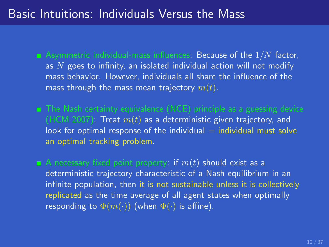### Basic Intuitions: Individuals Versus the Mass

- $\blacksquare$  Asymmetric individual-mass influences: Because of the  $1/N$  factor, as  $N$  goes to infinity, an isolated individual action will not modify mass behavior. However, individuals all share the influence of the mass through the mass mean trajectory  $m(t)$ .
- (HCM 2007): Treat  $m(t)$  as a deterministic given trajectory, and look for optimal response of the individual  $=$  individual must solve an optimal tracking problem.
- A necessary fixed point property: if  $m(t)$  should exist as a deterministic trajectory characteristic of a Nash equilibrium in an infinite population, then it is not sustainable unless it is collectively replicated as the time average of all agent states when optimally responding to  $\Phi(m(\cdot))$  (when  $\Phi(\cdot)$  is affine).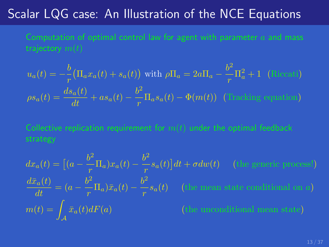## Scalar LQG case: An Illustration of the NCE Equations

$$
u_a(t) = -\frac{b}{r} \left( \Pi_a x_a(t) + s_a(t) \right) \text{ with } \rho \Pi_a = 2a\Pi_a - \frac{b^2}{r} \Pi_a^2 + 1 \quad \text{(Riccati)}
$$

$$
\rho s_a(t) = \frac{ds_a(t)}{dt} + as_a(t) - \frac{b^2}{r} \Pi_a s_a(t) - \Phi(m(t)) \quad \text{(Tracking equation)}
$$

$$
dx_a(t) = \left[ (a - \frac{b^2}{r} \Pi_a) x_a(t) - \frac{b^2}{r} s_a(t) \right] dt + \sigma dw(t)
$$
 (the generic process!)  
\n
$$
\frac{d\bar{x}_a(t)}{dt} = (a - \frac{b^2}{r} \Pi_a) \bar{x}_a(t) - \frac{b^2}{r} s_a(t)
$$
 (the mean state conditional on a)  
\n
$$
m(t) = \int_{\mathcal{A}} \bar{x}_a(t) dF(a)
$$
 (the unconditional mean state)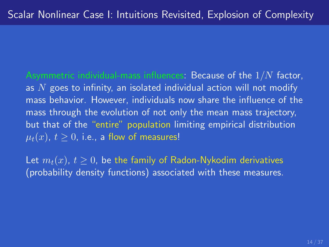Asymmetric individual-mass influences: Because of the  $1/N$  factor, as  $N$  goes to infinity, an isolated individual action will not modify mass behavior. However, individuals now share the influence of the mass through the evolution of not only the mean mass trajectory, but that of the "entire" population limiting empirical distribution  $\mu_t(x)$ ,  $t \geq 0$ , i.e., a flow of measures!

Let  $m_t(x)$ ,  $t \geq 0$ , be the family of Radon-Nykodim derivatives (probability density functions) associated with these measures.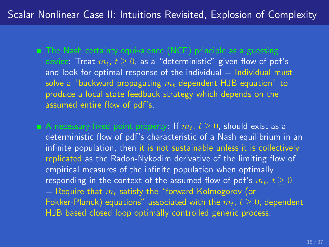device: Treat  $m_t$ ,  $t \geq 0$ , as a "deterministic" given flow of pdf's and look for optimal response of the individual  $=$  Individual must solve a "backward propagating  $m_t$  dependent HJB equation" to produce a local state feedback strategy which depends on the assumed entire flow of pdf's.

A necessary fixed point property: If  $m_t$ ,  $t \geq 0$ , should exist as a deterministic flow of pdf's characteristic of a Nash equilibrium in an infinite population, then it is not sustainable unless it is collectively replicated as the Radon-Nykodim derivative of the limiting flow of empirical measures of the infinite population when optimally responding in the context of the assumed flow of pdf's  $m_t$ ,  $t > 0$  $=$  Require that  $m_t$  satisfy the "forward Kolmogorov (or Fokker-Planck) equations" associated with the  $m_t$ ,  $t > 0$ , dependent HJB based closed loop optimally controlled generic process.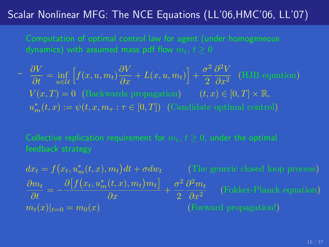### Scalar Nonlinear MFG: The NCE Equations (LL'06,HMC'06, LL'07)

$$
\begin{aligned}\n& \frac{\partial V}{\partial t} = \inf_{u \in \mathcal{U}} \left[ f(x, u, m_t) \frac{\partial V}{\partial x} + L(x, u, m_t) \right] + \frac{\sigma^2}{2} \frac{\partial^2 V}{\partial x^2} \quad \text{(HJB equation)} \\
& V(x, T) = 0 \quad \text{(Backwards propagation)} \qquad (t, x) \in [0, T] \times \mathbb{R}, \\
& u_m^*(t, x) := \psi(t, x, m_\tau : \tau \in [0, T]) \quad \text{(Candidate optimal control)}\n\end{aligned}
$$

$$
dx_t = f(x_t, u_m^*(t, x), m_t)dt + \sigma dw_t
$$
 (The generic closed loop process)  
\n
$$
\frac{\partial m_t}{\partial t} = -\frac{\partial [f(x_t, u_m^*(t, x), m_t)m_t]}{\partial x} + \frac{\sigma^2}{2} \frac{\partial^2 m_t}{\partial x^2}
$$
 (Fokker-Planck equation)  
\n
$$
m_t(x)|_{t=0} = m_0(x)
$$
 (Forward propagation!)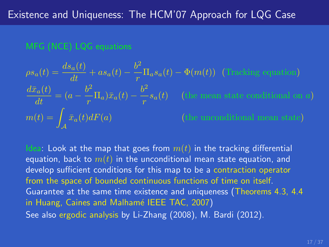#### MFG (NCE) LQG equations

$$
\rho s_a(t) = \frac{ds_a(t)}{dt} + as_a(t) - \frac{b^2}{r} \Pi_a s_a(t) - \Phi(m(t)) \quad \text{(Tracking equation)}
$$

$$
\frac{d\bar{x}_a(t)}{dt} = (a - \frac{b^2}{r} \Pi_a)\bar{x}_a(t) - \frac{b^2}{r} s_a(t) \quad \text{(the mean state conditional on } a\text{)}
$$

$$
m(t) = \int_A \bar{x}_a(t) dF(a) \qquad \text{(the unconditional mean state)}
$$

Idea: Look at the map that goes from  $m(t)$  in the tracking differential equation, back to  $m(t)$  in the unconditional mean state equation, and develop sufficient conditions for this map to be a contraction operator from the space of bounded continuous functions of time on itself. Guarantee at the same time existence and uniqueness (Theorems 4.3, 4.4 in Huang, Caines and Malhamé IEEE TAC, 2007) See also ergodic analysis by Li-Zhang (2008), M. Bardi (2012).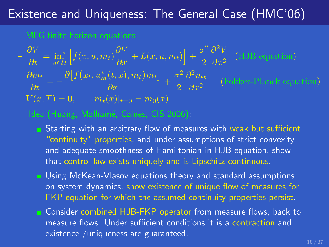## Existence and Uniqueness: The General Case (HMC'06)

$$
-\frac{\partial V}{\partial t} = \inf_{u \in \mathcal{U}} \left[ f(x, u, m_t) \frac{\partial V}{\partial x} + L(x, u, m_t) \right] + \frac{\sigma^2}{2} \frac{\partial^2 V}{\partial x^2}
$$
 (HJB equation)  

$$
\frac{\partial m_t}{\partial t} = -\frac{\partial \left[ f(x_t, u_m^*(t, x), m_t) m_t \right]}{\partial x} + \frac{\sigma^2}{2} \frac{\partial^2 m_t}{\partial x^2}
$$
 (Fokker-Planck equation)  

$$
V(x, T) = 0, \qquad m_t(x)|_{t=0} = m_0(x)
$$

- Starting with an arbitrary flow of measures with weak but sufficient "continuity" properties, and under assumptions of strict convexity and adequate smoothness of Hamiltonian in HJB equation, show that control law exists uniquely and is Lipschitz continuous.
- **E** Using McKean-Vlasov equations theory and standard assumptions on system dynamics, show existence of unique flow of measures for FKP equation for which the assumed continuity properties persist.
- **E** Consider combined HJB-FKP operator from measure flows, back to measure flows. Under sufficient conditions it is a contraction and existence /uniqueness are guaranteed.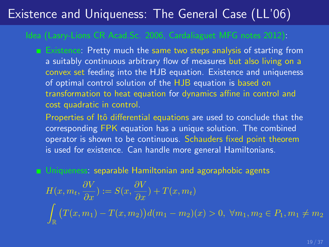## Existence and Uniqueness: The General Case (LL'06)

Existence: Pretty much the same two steps analysis of starting from a suitably continuous arbitrary flow of measures but also living on a convex set feeding into the HJB equation. Existence and uniqueness of optimal control solution of the HJB equation is based on transformation to heat equation for dynamics affine in control and cost quadratic in control.

Properties of Itô differential equations are used to conclude that the corresponding FPK equation has a unique solution. The combined operator is shown to be continuous. Schauders fixed point theorem is used for existence. Can handle more general Hamiltonians.

**Demon Uniqueness: separable Hamiltonian and agoraphobic agents** 

$$
H(x, m_t, \frac{\partial V}{\partial x}) := S(x, \frac{\partial V}{\partial x}) + T(x, m_t)
$$
  

$$
\int_{\mathbb{R}} \left( T(x, m_1) - T(x, m_2) \right) d(m_1 - m_2)(x) > 0, \ \forall m_1, m_2 \in P_1, m_1 \neq m_2
$$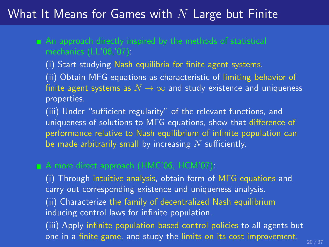### What It Means for Games with  $N$  Large but Finite

(i) Start studying Nash equilibria for finite agent systems. (ii) Obtain MFG equations as characteristic of limiting behavior of finite agent systems as  $N \to \infty$  and study existence and uniqueness properties.

(iii) Under "sufficient regularity" of the relevant functions, and uniqueness of solutions to MFG equations, show that difference of performance relative to Nash equilibrium of infinite population can be made arbitrarily small by increasing  $N$  sufficiently.

(i) Through intuitive analysis, obtain form of MFG equations and carry out corresponding existence and uniqueness analysis.

(ii) Characterize the family of decentralized Nash equilibrium inducing control laws for infinite population.

(iii) Apply infinite population based control policies to all agents but one in a finite game, and study the limits on its cost improvement.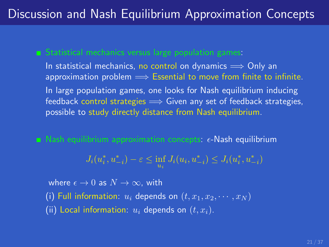## Discussion and Nash Equilibrium Approximation Concepts

In statistical mechanics, no control on dynamics  $\implies$  Only an approximation problem  $\implies$  Essential to move from finite to infinite. In large population games, one looks for Nash equilibrium inducing feedback control strategies  $\implies$  Given any set of feedback strategies, possible to study directly distance from Nash equilibrium.

Nash equilibrium approximation concepts:  $\epsilon$ -Nash equilibrium

$$
J_i(u_i^*, u_{-i}^*) - \varepsilon \le \inf_{u_i} J_i(u_i, u_{-i}^*) \le J_i(u_i^*, u_{-i}^*)
$$

where  $\epsilon \to 0$  as  $N \to \infty$ , with (i) Full information:  $u_i$  depends on  $(t, x_1, x_2, \dots, x_N)$ (ii) Local information:  $u_i$  depends on  $(t, x_i)$ .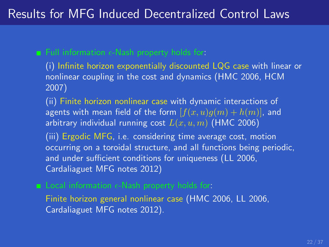## Results for MFG Induced Decentralized Control Laws

(i) Infinite horizon exponentially discounted LQG case with linear or nonlinear coupling in the cost and dynamics (HMC 2006, HCM 2007)

(ii) Finite horizon nonlinear case with dynamic interactions of agents with mean field of the form  $[f(x, u)q(m) + h(m)]$ , and arbitrary individual running cost  $L(x, u, m)$  (HMC 2006)

(iii) Ergodic MFG, i.e. considering time average cost, motion occurring on a toroidal structure, and all functions being periodic, and under sufficient conditions for uniqueness (LL 2006, Cardaliaguet MFG notes 2012)

Finite horizon general nonlinear case (HMC 2006, LL 2006, Cardaliaguet MFG notes 2012).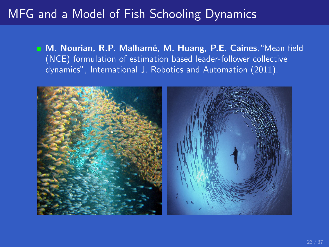## MFG and a Model of Fish Schooling Dynamics

M. Nourian, R.P. Malhamé, M. Huang, P.E. Caines, "Mean field (NCE) formulation of estimation based leader-follower collective dynamics", International J. Robotics and Automation (2011).

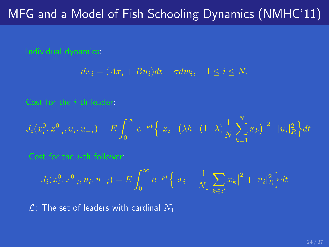## MFG and a Model of Fish Schooling Dynamics (NMHC'11)

$$
dx_i = (Ax_i + Bu_i)dt + \sigma dw_i, \quad 1 \le i \le N.
$$

$$
J_i(x_i^0, x_{-i}^0, u_i, u_{-i}) = E \int_0^\infty e^{-\rho t} \left\{ |x_i - (\lambda h + (1 - \lambda) \frac{1}{N} \sum_{k=1}^N x_k)|^2 + |u_i|_R^2 \right\} dt
$$

$$
J_i(x_i^0, x_{-i}^0, u_i, u_{-i}) = E \int_0^\infty e^{-\rho t} \left\{ \left| x_i - \frac{1}{N_1} \sum_{k \in \mathcal{L}} x_k \right|^2 + |u_i|_R^2 \right\} dt
$$

 $\mathcal{L}$ : The set of leaders with cardinal  $N_1$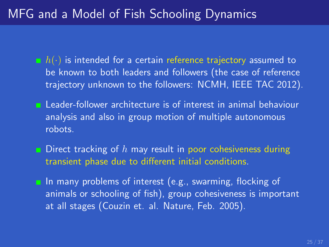## MFG and a Model of Fish Schooling Dynamics

- $\blacksquare$   $h(\cdot)$  is intended for a certain reference trajectory assumed to be known to both leaders and followers (the case of reference trajectory unknown to the followers: NCMH, IEEE TAC 2012).
- **E** Leader-follower architecture is of interest in animal behaviour analysis and also in group motion of multiple autonomous robots.
- **Direct tracking of h may result in poor cohesiveness during** transient phase due to different initial conditions.

 $\blacksquare$  In many problems of interest (e.g., swarming, flocking of animals or schooling of fish), group cohesiveness is important at all stages (Couzin et. al. Nature, Feb. 2005).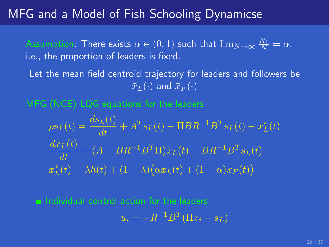## MFG and a Model of Fish Schooling Dynamicse

Assumption: There exists  $\alpha \in (0,1)$  such that  $\lim_{N \to \infty} \frac{N_1}{N} = \alpha,$ i.e., the proportion of leaders is fixed.

Let the mean field centroid trajectory for leaders and followers be  $\bar{x}_L(\cdot)$  and  $\bar{x}_F(\cdot)$ 

 $\rho s_L(t) = \frac{ds_L(t)}{dt} + A^T s_L(t) - \Pi BR^{-1}B^T s_L(t) - x_L^*(t)$  $\frac{d\bar{x}_L(t)}{dt} = (A - BR^{-1}B^T\Pi)\bar{x}_L(t) - BR^{-1}B^Ts_L(t)$  $x_L^*(t) = \lambda h(t) + (1 - \lambda) (\alpha \bar{x}_L(t) + (1 - \alpha) \bar{x}_F(t))$ 

 $\blacksquare$  Individual control action for the leaders  $u_i = -R^{-1}B^T(\Pi x_i + s_L)$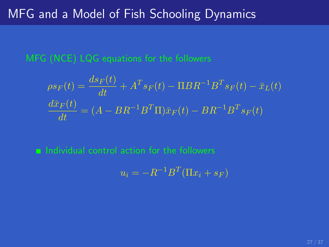$$
\rho s_F(t) = \frac{ds_F(t)}{dt} + A^T s_F(t) - \Pi B R^{-1} B^T s_F(t) - \bar{x}_L(t)
$$

$$
\frac{d\bar{x}_F(t)}{dt} = (A - B R^{-1} B^T \Pi) \bar{x}_F(t) - B R^{-1} B^T s_F(t)
$$

 $\blacksquare$  Individual control action for the followers

$$
u_i = -R^{-1}B^T(\Pi x_i + s_F)
$$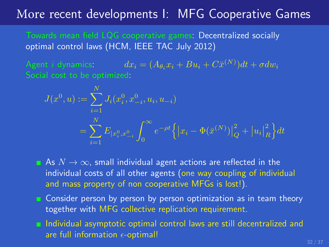### More recent developments I: MFG Cooperative Games

Towards mean field LQG cooperative games: Decentralized socially optimal control laws (HCM, IEEE TAC July 2012)

Agent i dynamics:  $dx_i = (A_{\theta_i} x_i + B u_i + C \bar{x}^{(N)}) dt + \sigma dw_i$ 

$$
J(x^0, u) := \sum_{i=1}^N J_i(x_i^0, x_{-i}^0, u_i, u_{-i})
$$
  
= 
$$
\sum_{i=1}^N E_{|x_i^0, x_{-i}^0} \int_0^\infty e^{-\rho t} \left\{ |x_i - \Phi(\bar{x}^{(N)})|_Q^2 + |u_i|_R^2 \right\} dt
$$

As  $N \to \infty$ , small individual agent actions are reflected in the individual costs of all other agents (one way coupling of individual and mass property of non cooperative MFGs is lost!).

- **n** Consider person by person by person optimization as in team theory together with MFG collective replication requirement.
- **Individual asymptotic optimal control laws are still decentralized and** are full information  $\epsilon$ -optimal!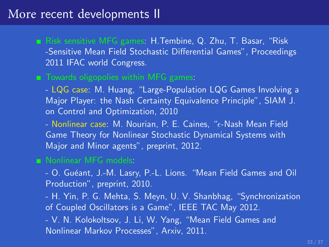### More recent developments II

Risk sensitive MFG games: H.Tembine, Q. Zhu, T. Basar, "Risk -Sensitive Mean Field Stochastic Differential Games", Proceedings 2011 IFAC world Congress.

#### **T**owards oligopolies within MFG games:

- LQG case: M. Huang, "Large-Population LQG Games Involving a Major Player: the Nash Certainty Equivalence Principle", SIAM J. on Control and Optimization, 2010

- Nonlinear case: M. Nourian, P. E. Caines, "e-Nash Mean Field Game Theory for Nonlinear Stochastic Dynamical Systems with Major and Minor agents", preprint, 2012.

#### Nonlinear MFG models:

- O. Gu´eant, J.-M. Lasry, P.-L. Lions. "Mean Field Games and Oil Production", preprint, 2010.

- H. Yin, P. G. Mehta, S. Meyn, U. V. Shanbhag, "Synchronization of Coupled Oscillators is a Game", IEEE TAC May 2012.

- V. N. Kolokoltsov, J. Li, W. Yang, "Mean Field Games and Nonlinear Markov Processes", Arxiv, 2011.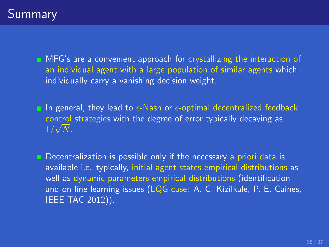**MFG's are a convenient approach for crystallizing the interaction of** an individual agent with a large population of similar agents which individually carry a vanishing decision weight.

In general, they lead to  $\epsilon$ -Nash or  $\epsilon$ -optimal decentralized feedback control strategies with the degree of error typically decaying as √  $1/\sqrt{N}$ .

**Decentralization is possible only if the necessary a priori data is** available i.e. typically, initial agent states empirical distributions as well as dynamic parameters empirical distributions (identification and on line learning issues (LQG case: A. C. Kizilkale, P. E. Caines, IEEE TAC 2012)).